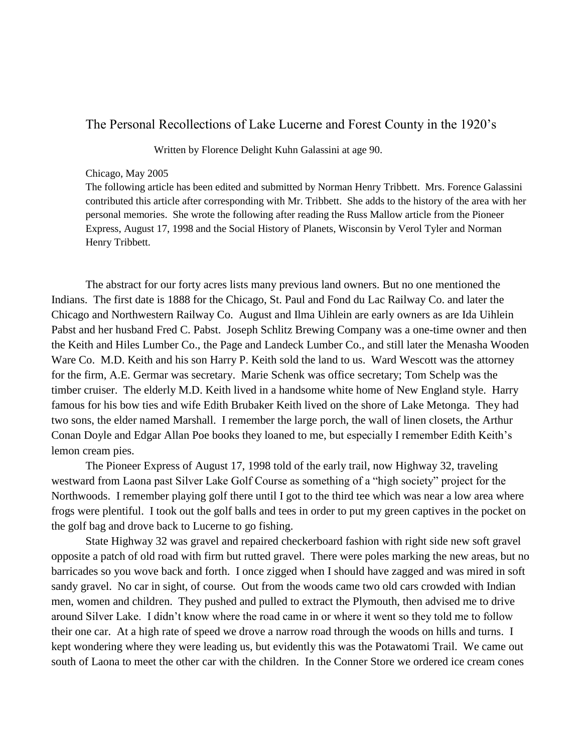## The Personal Recollections of Lake Lucerne and Forest County in the 1920's

Written by Florence Delight Kuhn Galassini at age 90.

## Chicago, May 2005

The following article has been edited and submitted by Norman Henry Tribbett. Mrs. Forence Galassini contributed this article after corresponding with Mr. Tribbett. She adds to the history of the area with her personal memories. She wrote the following after reading the Russ Mallow article from the Pioneer Express, August 17, 1998 and the Social History of Planets, Wisconsin by Verol Tyler and Norman Henry Tribbett.

The abstract for our forty acres lists many previous land owners. But no one mentioned the Indians. The first date is 1888 for the Chicago, St. Paul and Fond du Lac Railway Co. and later the Chicago and Northwestern Railway Co. August and Ilma Uihlein are early owners as are Ida Uihlein Pabst and her husband Fred C. Pabst. Joseph Schlitz Brewing Company was a one-time owner and then the Keith and Hiles Lumber Co., the Page and Landeck Lumber Co., and still later the Menasha Wooden Ware Co. M.D. Keith and his son Harry P. Keith sold the land to us. Ward Wescott was the attorney for the firm, A.E. Germar was secretary. Marie Schenk was office secretary; Tom Schelp was the timber cruiser. The elderly M.D. Keith lived in a handsome white home of New England style. Harry famous for his bow ties and wife Edith Brubaker Keith lived on the shore of Lake Metonga. They had two sons, the elder named Marshall. I remember the large porch, the wall of linen closets, the Arthur Conan Doyle and Edgar Allan Poe books they loaned to me, but especially I remember Edith Keith's lemon cream pies.

The Pioneer Express of August 17, 1998 told of the early trail, now Highway 32, traveling westward from Laona past Silver Lake Golf Course as something of a "high society" project for the Northwoods. I remember playing golf there until I got to the third tee which was near a low area where frogs were plentiful. I took out the golf balls and tees in order to put my green captives in the pocket on the golf bag and drove back to Lucerne to go fishing.

State Highway 32 was gravel and repaired checkerboard fashion with right side new soft gravel opposite a patch of old road with firm but rutted gravel. There were poles marking the new areas, but no barricades so you wove back and forth. I once zigged when I should have zagged and was mired in soft sandy gravel. No car in sight, of course. Out from the woods came two old cars crowded with Indian men, women and children. They pushed and pulled to extract the Plymouth, then advised me to drive around Silver Lake. I didn't know where the road came in or where it went so they told me to follow their one car. At a high rate of speed we drove a narrow road through the woods on hills and turns. I kept wondering where they were leading us, but evidently this was the Potawatomi Trail. We came out south of Laona to meet the other car with the children. In the Conner Store we ordered ice cream cones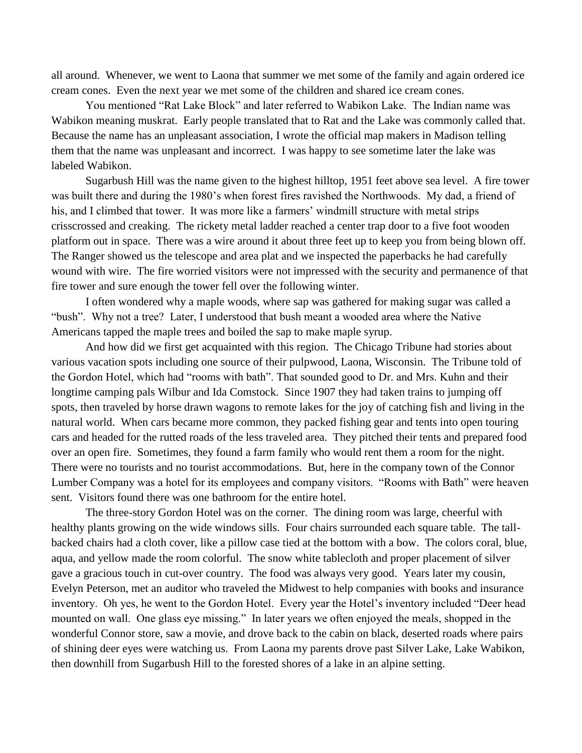all around. Whenever, we went to Laona that summer we met some of the family and again ordered ice cream cones. Even the next year we met some of the children and shared ice cream cones.

You mentioned "Rat Lake Block" and later referred to Wabikon Lake. The Indian name was Wabikon meaning muskrat. Early people translated that to Rat and the Lake was commonly called that. Because the name has an unpleasant association, I wrote the official map makers in Madison telling them that the name was unpleasant and incorrect. I was happy to see sometime later the lake was labeled Wabikon.

Sugarbush Hill was the name given to the highest hilltop, 1951 feet above sea level. A fire tower was built there and during the 1980's when forest fires ravished the Northwoods. My dad, a friend of his, and I climbed that tower. It was more like a farmers' windmill structure with metal strips crisscrossed and creaking. The rickety metal ladder reached a center trap door to a five foot wooden platform out in space. There was a wire around it about three feet up to keep you from being blown off. The Ranger showed us the telescope and area plat and we inspected the paperbacks he had carefully wound with wire. The fire worried visitors were not impressed with the security and permanence of that fire tower and sure enough the tower fell over the following winter.

I often wondered why a maple woods, where sap was gathered for making sugar was called a "bush". Why not a tree? Later, I understood that bush meant a wooded area where the Native Americans tapped the maple trees and boiled the sap to make maple syrup.

And how did we first get acquainted with this region. The Chicago Tribune had stories about various vacation spots including one source of their pulpwood, Laona, Wisconsin. The Tribune told of the Gordon Hotel, which had "rooms with bath". That sounded good to Dr. and Mrs. Kuhn and their longtime camping pals Wilbur and Ida Comstock. Since 1907 they had taken trains to jumping off spots, then traveled by horse drawn wagons to remote lakes for the joy of catching fish and living in the natural world. When cars became more common, they packed fishing gear and tents into open touring cars and headed for the rutted roads of the less traveled area. They pitched their tents and prepared food over an open fire. Sometimes, they found a farm family who would rent them a room for the night. There were no tourists and no tourist accommodations. But, here in the company town of the Connor Lumber Company was a hotel for its employees and company visitors. "Rooms with Bath" were heaven sent. Visitors found there was one bathroom for the entire hotel.

The three-story Gordon Hotel was on the corner. The dining room was large, cheerful with healthy plants growing on the wide windows sills. Four chairs surrounded each square table. The tallbacked chairs had a cloth cover, like a pillow case tied at the bottom with a bow. The colors coral, blue, aqua, and yellow made the room colorful. The snow white tablecloth and proper placement of silver gave a gracious touch in cut-over country. The food was always very good. Years later my cousin, Evelyn Peterson, met an auditor who traveled the Midwest to help companies with books and insurance inventory. Oh yes, he went to the Gordon Hotel. Every year the Hotel's inventory included "Deer head mounted on wall. One glass eye missing." In later years we often enjoyed the meals, shopped in the wonderful Connor store, saw a movie, and drove back to the cabin on black, deserted roads where pairs of shining deer eyes were watching us. From Laona my parents drove past Silver Lake, Lake Wabikon, then downhill from Sugarbush Hill to the forested shores of a lake in an alpine setting.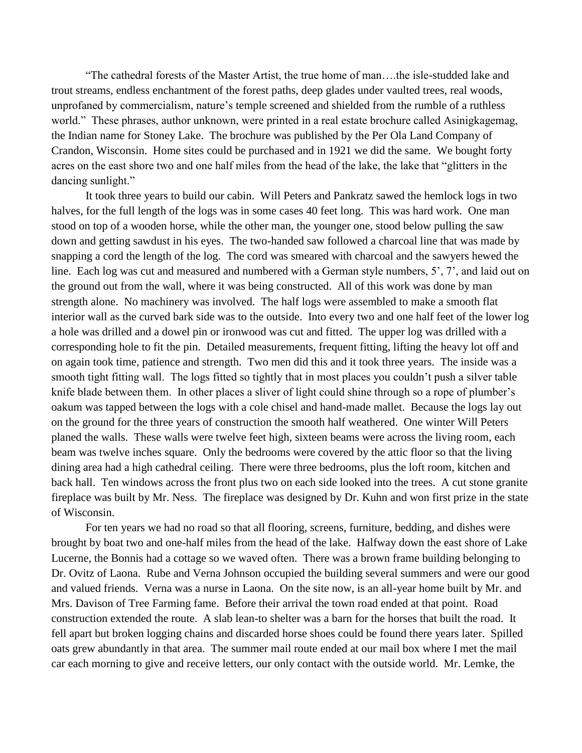"The cathedral forests of the Master Artist, the true home of man….the isle-studded lake and trout streams, endless enchantment of the forest paths, deep glades under vaulted trees, real woods, unprofaned by commercialism, nature's temple screened and shielded from the rumble of a ruthless world." These phrases, author unknown, were printed in a real estate brochure called Asinigkagemag, the Indian name for Stoney Lake. The brochure was published by the Per Ola Land Company of Crandon, Wisconsin. Home sites could be purchased and in 1921 we did the same. We bought forty acres on the east shore two and one half miles from the head of the lake, the lake that "glitters in the dancing sunlight."

It took three years to build our cabin. Will Peters and Pankratz sawed the hemlock logs in two halves, for the full length of the logs was in some cases 40 feet long. This was hard work. One man stood on top of a wooden horse, while the other man, the younger one, stood below pulling the saw down and getting sawdust in his eyes. The two-handed saw followed a charcoal line that was made by snapping a cord the length of the log. The cord was smeared with charcoal and the sawyers hewed the line. Each log was cut and measured and numbered with a German style numbers, 5', 7', and laid out on the ground out from the wall, where it was being constructed. All of this work was done by man strength alone. No machinery was involved. The half logs were assembled to make a smooth flat interior wall as the curved bark side was to the outside. Into every two and one half feet of the lower log a hole was drilled and a dowel pin or ironwood was cut and fitted. The upper log was drilled with a corresponding hole to fit the pin. Detailed measurements, frequent fitting, lifting the heavy lot off and on again took time, patience and strength. Two men did this and it took three years. The inside was a smooth tight fitting wall. The logs fitted so tightly that in most places you couldn't push a silver table knife blade between them. In other places a sliver of light could shine through so a rope of plumber's oakum was tapped between the logs with a cole chisel and hand-made mallet. Because the logs lay out on the ground for the three years of construction the smooth half weathered. One winter Will Peters planed the walls. These walls were twelve feet high, sixteen beams were across the living room, each beam was twelve inches square. Only the bedrooms were covered by the attic floor so that the living dining area had a high cathedral ceiling. There were three bedrooms, plus the loft room, kitchen and back hall. Ten windows across the front plus two on each side looked into the trees. A cut stone granite fireplace was built by Mr. Ness. The fireplace was designed by Dr. Kuhn and won first prize in the state of Wisconsin.

For ten years we had no road so that all flooring, screens, furniture, bedding, and dishes were brought by boat two and one-half miles from the head of the lake. Halfway down the east shore of Lake Lucerne, the Bonnis had a cottage so we waved often. There was a brown frame building belonging to Dr. Ovitz of Laona. Rube and Verna Johnson occupied the building several summers and were our good and valued friends. Verna was a nurse in Laona. On the site now, is an all-year home built by Mr. and Mrs. Davison of Tree Farming fame. Before their arrival the town road ended at that point. Road construction extended the route. A slab lean-to shelter was a barn for the horses that built the road. It fell apart but broken logging chains and discarded horse shoes could be found there years later. Spilled oats grew abundantly in that area. The summer mail route ended at our mail box where I met the mail car each morning to give and receive letters, our only contact with the outside world. Mr. Lemke, the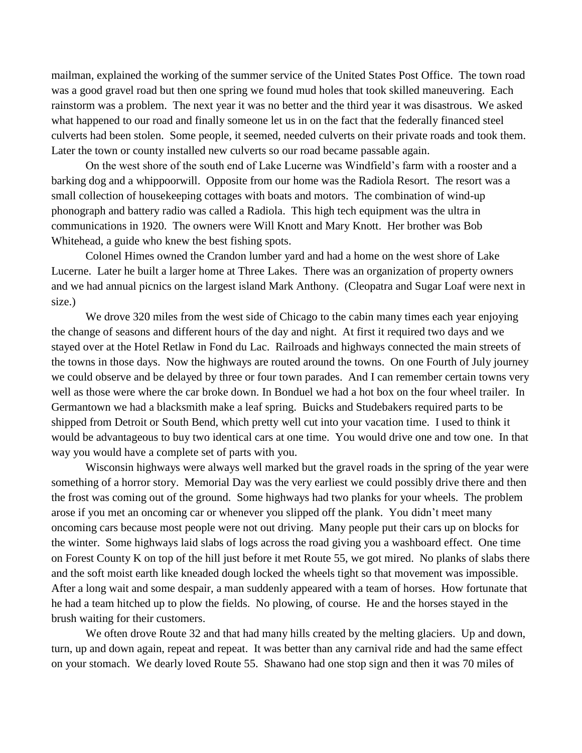mailman, explained the working of the summer service of the United States Post Office. The town road was a good gravel road but then one spring we found mud holes that took skilled maneuvering. Each rainstorm was a problem. The next year it was no better and the third year it was disastrous. We asked what happened to our road and finally someone let us in on the fact that the federally financed steel culverts had been stolen. Some people, it seemed, needed culverts on their private roads and took them. Later the town or county installed new culverts so our road became passable again.

On the west shore of the south end of Lake Lucerne was Windfield's farm with a rooster and a barking dog and a whippoorwill. Opposite from our home was the Radiola Resort. The resort was a small collection of housekeeping cottages with boats and motors. The combination of wind-up phonograph and battery radio was called a Radiola. This high tech equipment was the ultra in communications in 1920. The owners were Will Knott and Mary Knott. Her brother was Bob Whitehead, a guide who knew the best fishing spots.

Colonel Himes owned the Crandon lumber yard and had a home on the west shore of Lake Lucerne. Later he built a larger home at Three Lakes. There was an organization of property owners and we had annual picnics on the largest island Mark Anthony. (Cleopatra and Sugar Loaf were next in size.)

We drove 320 miles from the west side of Chicago to the cabin many times each year enjoying the change of seasons and different hours of the day and night. At first it required two days and we stayed over at the Hotel Retlaw in Fond du Lac. Railroads and highways connected the main streets of the towns in those days. Now the highways are routed around the towns. On one Fourth of July journey we could observe and be delayed by three or four town parades. And I can remember certain towns very well as those were where the car broke down. In Bonduel we had a hot box on the four wheel trailer. In Germantown we had a blacksmith make a leaf spring. Buicks and Studebakers required parts to be shipped from Detroit or South Bend, which pretty well cut into your vacation time. I used to think it would be advantageous to buy two identical cars at one time. You would drive one and tow one. In that way you would have a complete set of parts with you.

Wisconsin highways were always well marked but the gravel roads in the spring of the year were something of a horror story. Memorial Day was the very earliest we could possibly drive there and then the frost was coming out of the ground. Some highways had two planks for your wheels. The problem arose if you met an oncoming car or whenever you slipped off the plank. You didn't meet many oncoming cars because most people were not out driving. Many people put their cars up on blocks for the winter. Some highways laid slabs of logs across the road giving you a washboard effect. One time on Forest County K on top of the hill just before it met Route 55, we got mired. No planks of slabs there and the soft moist earth like kneaded dough locked the wheels tight so that movement was impossible. After a long wait and some despair, a man suddenly appeared with a team of horses. How fortunate that he had a team hitched up to plow the fields. No plowing, of course. He and the horses stayed in the brush waiting for their customers.

We often drove Route 32 and that had many hills created by the melting glaciers. Up and down, turn, up and down again, repeat and repeat. It was better than any carnival ride and had the same effect on your stomach. We dearly loved Route 55. Shawano had one stop sign and then it was 70 miles of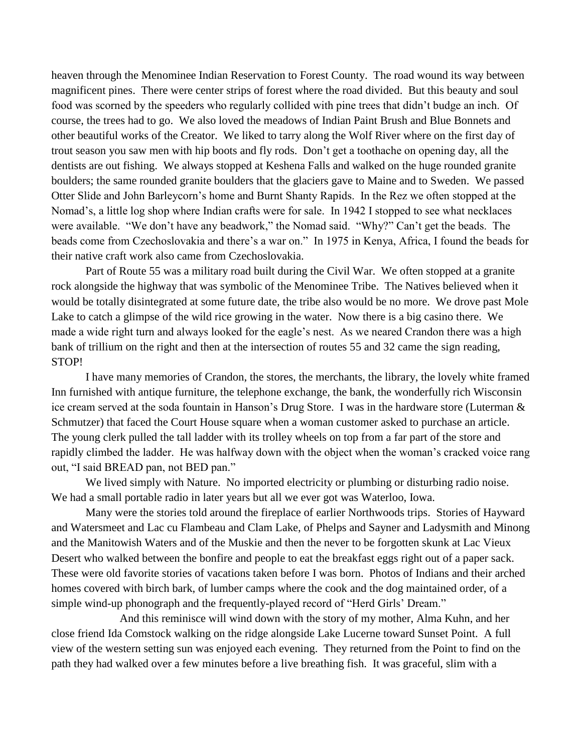heaven through the Menominee Indian Reservation to Forest County. The road wound its way between magnificent pines. There were center strips of forest where the road divided. But this beauty and soul food was scorned by the speeders who regularly collided with pine trees that didn't budge an inch. Of course, the trees had to go. We also loved the meadows of Indian Paint Brush and Blue Bonnets and other beautiful works of the Creator. We liked to tarry along the Wolf River where on the first day of trout season you saw men with hip boots and fly rods. Don't get a toothache on opening day, all the dentists are out fishing. We always stopped at Keshena Falls and walked on the huge rounded granite boulders; the same rounded granite boulders that the glaciers gave to Maine and to Sweden. We passed Otter Slide and John Barleycorn's home and Burnt Shanty Rapids. In the Rez we often stopped at the Nomad's, a little log shop where Indian crafts were for sale. In 1942 I stopped to see what necklaces were available. "We don't have any beadwork," the Nomad said. "Why?" Can't get the beads. The beads come from Czechoslovakia and there's a war on." In 1975 in Kenya, Africa, I found the beads for their native craft work also came from Czechoslovakia.

Part of Route 55 was a military road built during the Civil War. We often stopped at a granite rock alongside the highway that was symbolic of the Menominee Tribe. The Natives believed when it would be totally disintegrated at some future date, the tribe also would be no more. We drove past Mole Lake to catch a glimpse of the wild rice growing in the water. Now there is a big casino there. We made a wide right turn and always looked for the eagle's nest. As we neared Crandon there was a high bank of trillium on the right and then at the intersection of routes 55 and 32 came the sign reading, STOP!

I have many memories of Crandon, the stores, the merchants, the library, the lovely white framed Inn furnished with antique furniture, the telephone exchange, the bank, the wonderfully rich Wisconsin ice cream served at the soda fountain in Hanson's Drug Store. I was in the hardware store (Luterman & Schmutzer) that faced the Court House square when a woman customer asked to purchase an article. The young clerk pulled the tall ladder with its trolley wheels on top from a far part of the store and rapidly climbed the ladder. He was halfway down with the object when the woman's cracked voice rang out, "I said BREAD pan, not BED pan."

We lived simply with Nature. No imported electricity or plumbing or disturbing radio noise. We had a small portable radio in later years but all we ever got was Waterloo, Iowa.

Many were the stories told around the fireplace of earlier Northwoods trips. Stories of Hayward and Watersmeet and Lac cu Flambeau and Clam Lake, of Phelps and Sayner and Ladysmith and Minong and the Manitowish Waters and of the Muskie and then the never to be forgotten skunk at Lac Vieux Desert who walked between the bonfire and people to eat the breakfast eggs right out of a paper sack. These were old favorite stories of vacations taken before I was born. Photos of Indians and their arched homes covered with birch bark, of lumber camps where the cook and the dog maintained order, of a simple wind-up phonograph and the frequently-played record of "Herd Girls' Dream."

And this reminisce will wind down with the story of my mother, Alma Kuhn, and her close friend Ida Comstock walking on the ridge alongside Lake Lucerne toward Sunset Point. A full view of the western setting sun was enjoyed each evening. They returned from the Point to find on the path they had walked over a few minutes before a live breathing fish. It was graceful, slim with a